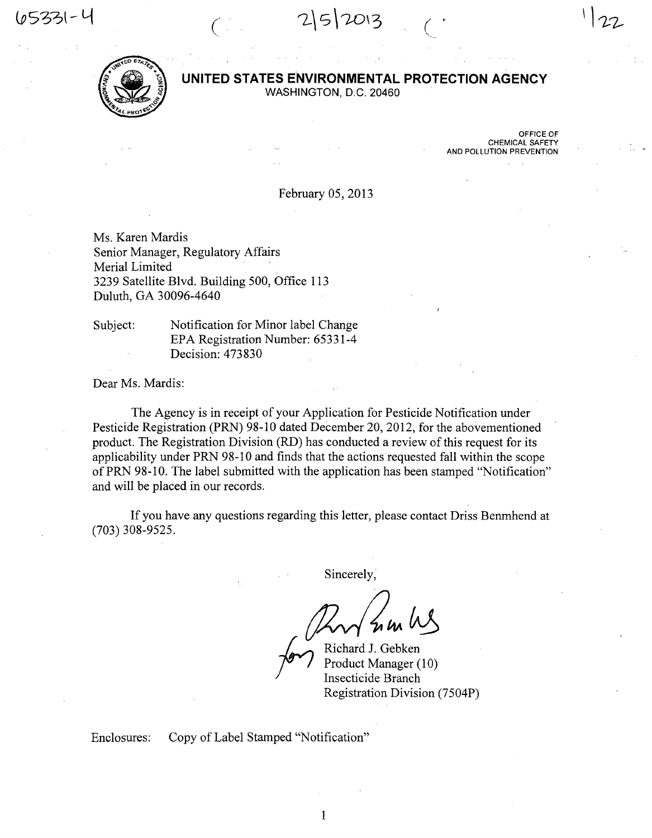$2|5|20|3$ 



## UNITED STATES ENVIRONMENTAL PROTECTION AGENCY

WASHINGTON, D.C. 20460

OFFICE OF CHEMICAL SAFETY AND POLLUTION PREVENTION

/

February 05, 2013

Ms. Karen Mardis Senior Manager, Regulatory Affairs Merial Limited 3239 Satellite Blvd. Building 500, Office 113 Duluth, GA 30096-4640

Subject: Notification for Minor label Change EPA Registration Number: 65331-4 Decision: 473830

Dear Ms. Mardis:

The Agency is in receipt of your Application for Pesticide Notification under Pesticide Registration (PRN) 98-10 dated December 20, 2012, for the abovementioned product. The Registration Division (RD) has conducted a review of this request for its applicability under PRN 98-10 and finds that the actions requested fall within the scope of PRN 98-10. The label submitted with the application has been stamped "Notification" and will be placed in our records.

If you have any questions regarding this letter, please contact Driss Benmhend at (703) 308-9525.

Sincerely,

Richard J. Gebken Product Manager (10) Insecticide Branch Registration Division (7504P)

Enclosures: Copy of Label Stamped "Notification"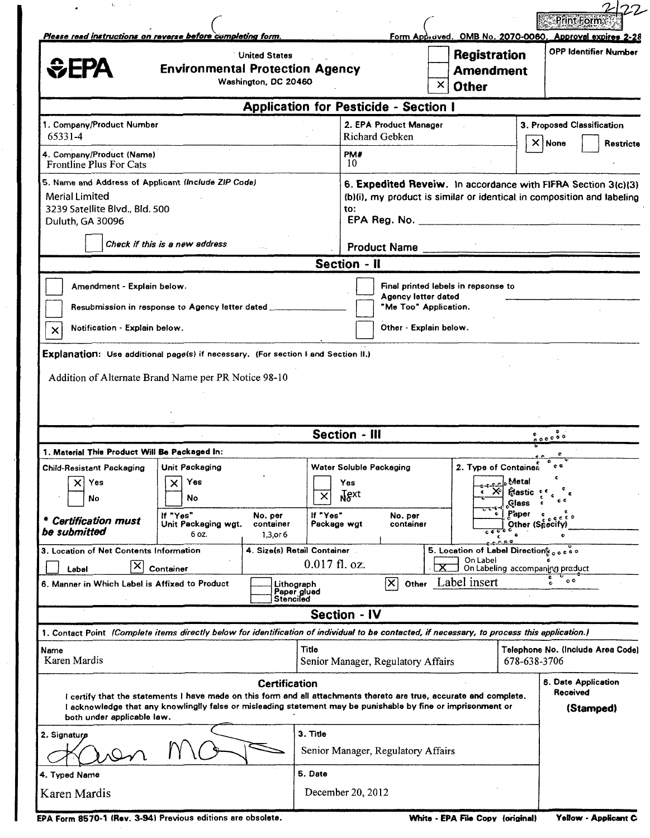| ١.                                                                                                                                                                                                                                                                          |                                                                                                               | <b>Print Form</b>                                                                                                                       |
|-----------------------------------------------------------------------------------------------------------------------------------------------------------------------------------------------------------------------------------------------------------------------------|---------------------------------------------------------------------------------------------------------------|-----------------------------------------------------------------------------------------------------------------------------------------|
| Please read instructions on reverse before completing form.<br><b>United States</b><br><b><i><u>CHPA</u></i></b><br><b>Environmental Protection Agency</b><br>Washington, DC 20460                                                                                          | $\times$<br><b>Other</b>                                                                                      | Form Approved. OMB No. 2070-0060. Approvel expires 2-28<br><b>OPP Identifier Number</b><br><b>Registration</b><br><b>Amendment</b>      |
|                                                                                                                                                                                                                                                                             | <b>Application for Pesticide - Section I</b>                                                                  |                                                                                                                                         |
| 1. Company/Product Number<br>65331-4                                                                                                                                                                                                                                        | 2. EPA Product Manager<br>Richard Gebken                                                                      | 3. Proposed Classification                                                                                                              |
| 4. Company/Product (Name)<br>Frontline Plus For Cats                                                                                                                                                                                                                        | PM#<br>-10-                                                                                                   | $\times$ None<br><b>Restricte</b>                                                                                                       |
| 5. Name and Address of Applicant (Include ZIP Code)<br><b>Merial Limited</b><br>3239 Satellite Blvd., Bld. 500<br>Duluth, GA 30096                                                                                                                                          | to:                                                                                                           | 6. Expedited Reveiw. In accordance with FIFRA Section 3(c)(3)<br>(b)(i), my product is similar or identical in composition and labeling |
| Check if this is a new address                                                                                                                                                                                                                                              | <b>Product Name</b><br><b>Section - II</b>                                                                    |                                                                                                                                         |
| Amendment - Explain below.<br>Resubmission in response to Agency letter dated ___<br>Notification - Explain below.<br>$\times$<br>Explanation: Use additional page(s) if necessary. (For section I and Section II.)<br>Addition of Alternate Brand Name per PR Notice 98-10 | Final printed labels in repsonse to<br>Agency letter dated<br>"Me Too" Application.<br>Other - Explain below. |                                                                                                                                         |
|                                                                                                                                                                                                                                                                             | <b>Section - III</b>                                                                                          | 50000                                                                                                                                   |
| 1. Material This Product Will Be Packaged In:                                                                                                                                                                                                                               |                                                                                                               |                                                                                                                                         |
| <b>Child-Resistant Packaging</b><br>Unit Packaging<br>mman and the second the second the second the second the second the second the second that is a second the second that $\sim$<br>Yes<br>Yes<br>x<br>No<br>No<br>If "Yes"<br>No. per                                   | Water Soluble Packaging<br>$\sqrt{2}$<br>Yes<br>Ngxt<br>$\times$<br>If "Yes"<br>No. per                       | 2. Type of Container<br>$\mathfrak{e}$<br><b>A</b> etal<br>$\boldsymbol{\times}$<br><b>Hastic</b><br><b>Glass</b><br>Paper              |
| <b>Certification must</b><br>Unit Packaging wgt.<br>container<br>be submitted<br>6 oz.<br>1,3,or 6                                                                                                                                                                          | container<br>Package wgt                                                                                      | Other (Specity<br>c C                                                                                                                   |
| 3. Location of Net Contents Information<br>x<br>Label<br>Container                                                                                                                                                                                                          | 4. Size(s) Retail Container<br>On Label<br>$0.017$ fl. oz.<br>Label insert                                    | 5. Location of Label Directions access<br>On Labeling accompaning product<br>$\circ$                                                    |
| 6. Manner in Which Label is Affixed to Product                                                                                                                                                                                                                              | X<br>Other<br>Lithograph<br>Paper glued<br>Stenciled                                                          |                                                                                                                                         |
|                                                                                                                                                                                                                                                                             | <b>Section - IV</b>                                                                                           |                                                                                                                                         |
| 1. Contact Point (Complete items directly below for identification of individual to be contacted, if necessary, to process this application.)                                                                                                                               |                                                                                                               |                                                                                                                                         |
| Name<br>Karen Mardis                                                                                                                                                                                                                                                        | Title<br>Senior Manager, Regulatory Affairs                                                                   | Telephone No. (Include Area Code)<br>678-638-3706                                                                                       |
| I certify that the statements I have made on this form and all attachments thereto are true, accurate and complete.<br>I acknowledge that any knowlinglly false or misleading statement may be punishable by fine or imprisonment or<br>both under applicable law.          | <b>Certification</b>                                                                                          | <b>6. Date Application</b><br>Received<br>(Stamped)                                                                                     |
| 2. Signature                                                                                                                                                                                                                                                                | 3. Title<br>Senior Manager, Regulatory Affairs                                                                |                                                                                                                                         |
| 4. Typed Name<br>Karen Mardis                                                                                                                                                                                                                                               | 5. Date<br>December 20, 2012                                                                                  |                                                                                                                                         |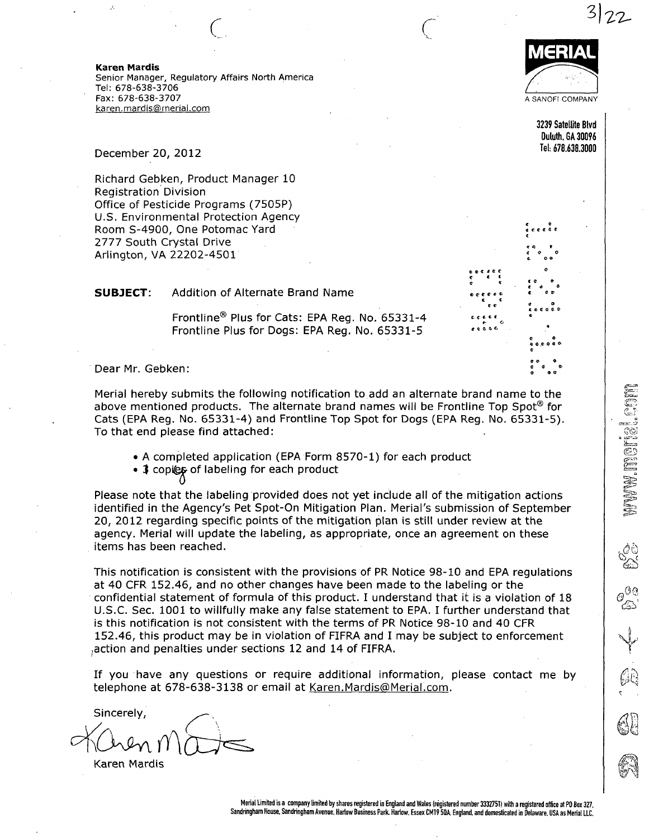Karen Mardis Senior Manager, Regulatory Affairs North America Tel: 678-638-3706 Fax: 678-638-3707 karen.mardis@rnerial.com

 $\begin{array}{c} \begin{array}{c} \begin{array}{c} \end{array} \end{array}$ 



i.?-

3239 Satellite Blvd Duluth.GA 30096 Tel: 678.638.3000

 $e$   $e$   $e$   $e$   $e$   $e$ C € t f <L c t e « r o e tt G ft «•

December 20, 2012

Richard Gebken, Product Manager 10 Registration Division Office of Pesticide Programs (7505P) U.S. Environmental Protection Agency Room S-4900, One Potomac Yard 2777 South Crystal Drive Arlington, VA 22202-4501

| <b>SUBJECT:</b> | Addition of Alternate Brand Name |  |
|-----------------|----------------------------------|--|
|                 |                                  |  |

Frontline® Plus for Cats: EPA Reg. No. 65331-4 Frontline Plus for Dogs: EPA Reg. No. 65331-5

Dear Mr. Gebken:

Merial hereby submits the following notification to add an alternate brand name to the above mentioned products. The alternate brand names will be Frontline Top Spot<sup>®</sup> for Cats (EPA Reg. No. 65331-4) and Frontline Top Spot for Dogs (EPA Reg. No. 65331-5). To that end please find attached:

• A completed application (EPA Form 8570-1) for each product

• 3 copies of labeling for each product

Please note that the labeling provided does not yet include all of the mitigation actions identified in the Agency's Pet Spot-On Mitigation Plan. Merial's submission of September 20, 2012 regarding specific points of the mitigation plan is still under review at the agency. Merial will update the labeling, as appropriate, once an agreement on these items has been reached.

This notification is consistent with the provisions of PR Notice 98-10 and EPA regulations at 40 CFR 152.46, and no other changes have been made to the labeling or the confidential statement of formula of this product. I understand that it is a violation of 18 U.S.C. Sec. 1001 to willfully make any false statement to EPA. I further understand that is this notification is not consistent with the terms of PR Notice 98-10 and 40 CFR 152.46, this product may be in violation of FIFRA and I may be subject to enforcement ;action and penalties under sections 12 and 14 of FIFRA.

If you have any questions or require additional information, please contact me by telephone at 678-638-3138 or email at Karen.Mardis@Merial.com.

Sincerely,  $\cup$ 

Karen Mardis

Merial Limited is a company limited by shares registered in England and Wales (registered number 3332751) with a registered office at PO Box 327. Sandringham House. Sandringham Avenue. Harlow Business Park. Harlow. Essex CM19 5QA, England, and domesticated in Delaware. USA as Merial LLC.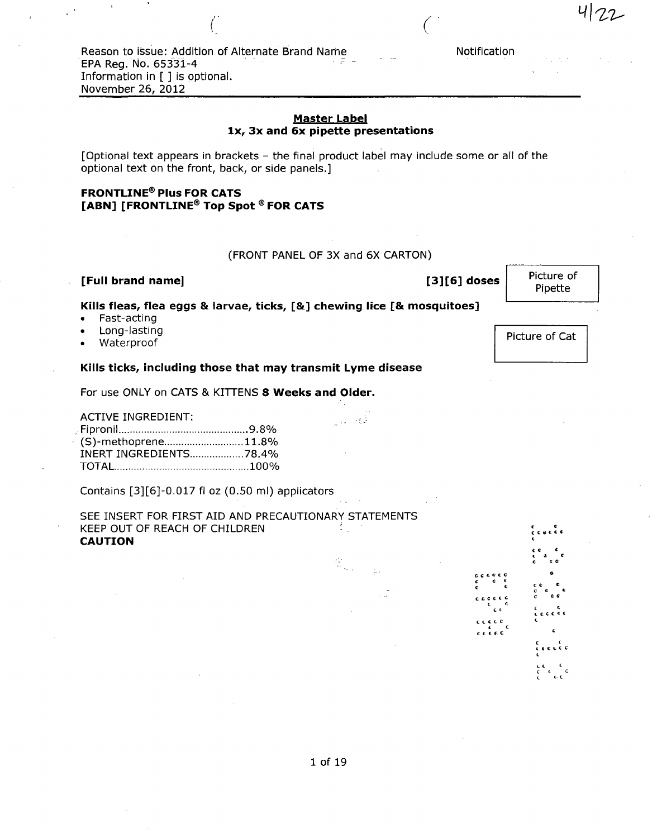Reason to issue: Addition of Alternate Brand Name<br>EPA Reg. No. 65331-4 EPA Reg. No. 65331-4 Information in [ ] is optional. November 26, 2012

## Master Label Ix, 3x and 6x pipette presentations

[Optional text appears in brackets - the final product label may include some or all of the optional text on the front, back, or side panels.]

# FRONTLINE® Plus FOR CATS [ABN] [FRONTLINE® Top Spot ® FOR CATS

(FRONT PANEL OF 3X and 6X CARTON)

 $\sim 1$ 

 $\begin{array}{l} \mathcal{P}_{\mathbf{h}}^{(1)} \\ \mathcal{P}_{\mathbf{h}}^{(2)} \\ \mathcal{P}_{\mathcal{P}}^{(1)} \mathcal{Q}_{\mathcal{P}_{\mathcal{P}}^{(2)}} \end{array}$ 

## [Full brand name]

[3][6] doses

c c c c c c c e t c c o c c c c c c c c t c t c<br>contre c c t f. c

Notification

Picture of Pipette

Picture of Cat

## Kills fleas, flea eggs & larvae, ticks, [&] chewing lice [& mosquitoes]

- Fast-acting
- Long-lasting
- Waterproof

## Kills ticks, including those that may transmit Lyme disease

For use ONLY on CATS & KITTENS 8 Weeks and Older.

ACTIVE INGREDIENT:

Fipronil 9.8% (S)-methoprene............................11.8% INERT INGREDIENTS...................78.4% TOTAL 100%

Contains [3][6]-0.017 fl oz (0.50 ml) applicators

| SEE INSERT FOR FIRST AID AND PRECAUTIONARY STATEMENTS |  |
|-------------------------------------------------------|--|
| KEEP OUT OF REACH OF CHILDREN                         |  |
| <b>CAUTION</b>                                        |  |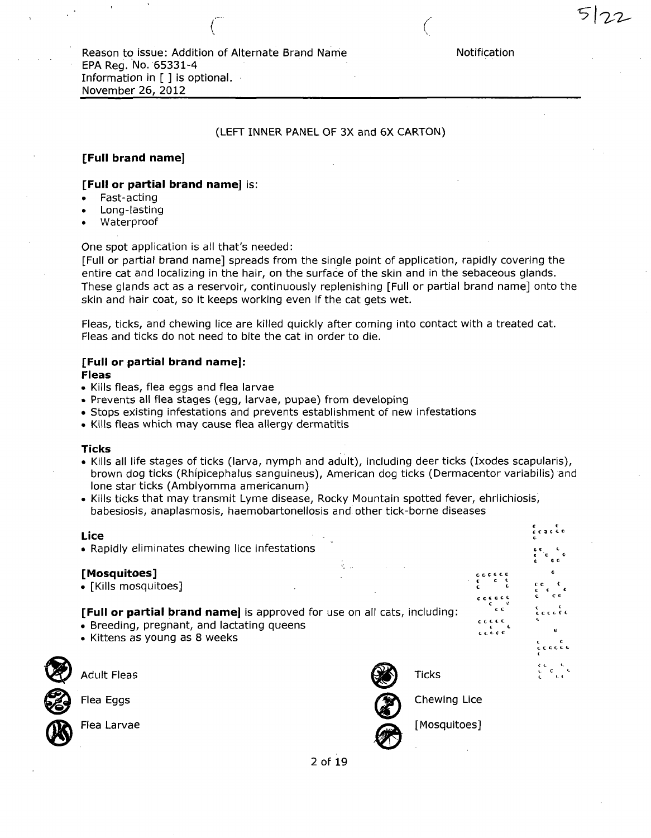$\left( \begin{array}{c} 1 \end{array} \right)$ 

## (LEFT INNER PANEL OF 3X and 6X CARTON)

## [Full brand name]

#### [Full or partial brand name] is:

- Fast-acting
- Long-lasting
- Waterproof

One spot application is all that's needed:

[Full or partial brand name] spreads from the single point of application, rapidly covering the entire cat and localizing in the hair, on the surface of the skin and in the sebaceous glands. These glands act as a reservoir, continuously replenishing [Full or partial brand name] onto the skin and hair coat, so it keeps working even if the cat gets wet.

Fleas, ticks, and chewing lice are killed quickly after coming into contact with a treated cat. Fleas and ticks do not need to bite the cat in order to die.

# [Full or partial brand name]:

Fleas

- Kills fleas, flea eggs and flea larvae
- Prevents all flea stages (egg, larvae, pupae) from developing
- Stops existing infestations and prevents establishment of new infestations
- Kills fleas which may cause flea allergy dermatitis

#### Ticks

- Kills all life stages of ticks (larva, nymph and adult), including deer ticks (Ixodes scapularis), brown dog ticks (Rhipicephalus sanguineus), American dog ticks (Dermacentor variabilis) and lone star ticks (Amblyomma americanum)
- Kills ticks that may transmit Lyme disease, Rocky Mountain spotted fever, ehrlichiosis, babesiosis, anaplasmosis, haemobartonellosis and other tick-borne diseases

# c c Lice • Rapidly eliminates chewing lice infestations [Mosquitoes] • [Kills mosquitoes] c [Full or partial brand name] is approved for use on all cats, including: • Breeding, pregnant, and lactating queens ' • Kittens as young as 8 weeks Adult Fleas Flea Eggs Flea Larvae Ticks Chewing Lice [Mosquitoes]

2 of 19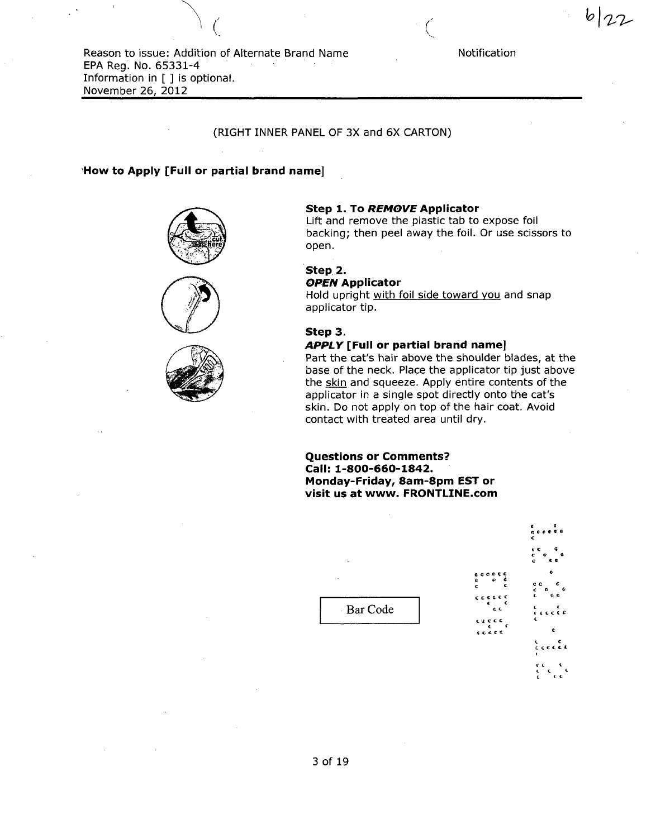Reason to issue: Addition of Alternate Brand Name EPA Reg. No. 65331-4 Information in [ ] is optional. November 26, 2012

#### Notification

7/2-

#### (RIGHT INNER PANEL OF 3X and 6X CARTON)

#### How to Apply [Full or partial brand name]







#### Step 1. To REMOVE Applicator

Lift and remove the plastic tab to expose foil backing; then peel away the foil. Or use scissors to open.

# Step 2.

OPEN Applicator

Hold upright with foil side toward you and snap applicator tip.

## Step 3.

#### APPLY [Full or partial brand name]

Part the cat's hair above the shoulder blades, at the base of the neck. Place the applicator tip just above the skin and squeeze. Apply entire contents of the applicator in a single spot directly onto the cat's skin. Do not apply on top of the hair coat. Avoid contact with treated area until dry.

Questions or Comments? Call: 1-800-660-1842. Monday-Friday, 8am-8pm EST or visit us at www. FRONTLINE.com

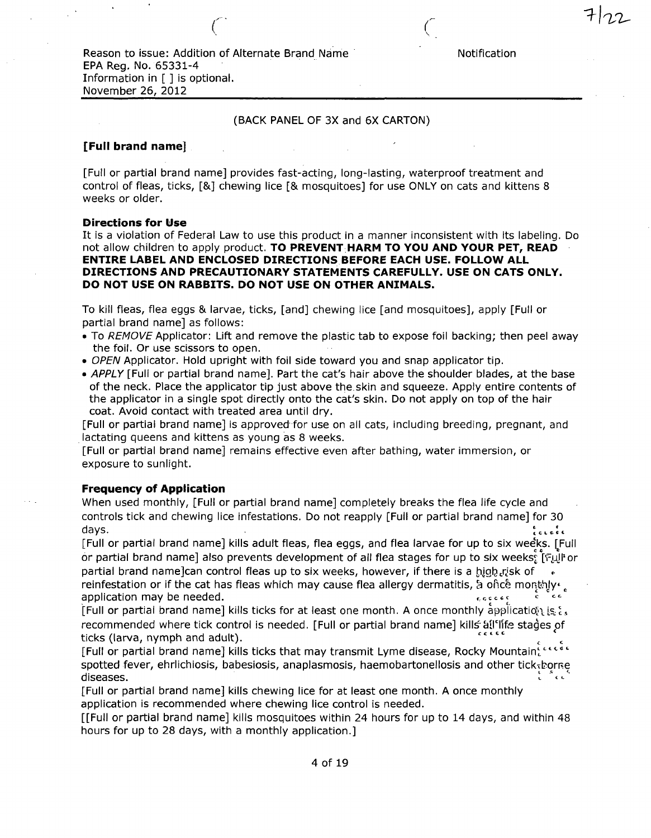Reason to issue: Addition of Alternate Brand Name Notification EPA Reg. No. 65331-4 Information in [ ] is optional. November 26, 2012

## (BACK PANEL OF 3X and 6X CARTON)

#### [Full brand name] '

[Full or partial brand name] provides fast-acting, long-lasting, waterproof treatment and control of fleas, ticks, [&] chewing lice [& mosquitoes] for use ONLY on cats and kittens 8 weeks or older.

#### Directions for Use

It is a violation of Federal Law to use this product in a manner inconsistent with its labeling. Do not allow children to apply product. TO PREVENT HARM TO YOU AND YOUR PET, READ ENTIRE LABEL AND ENCLOSED DIRECTIONS BEFORE EACH USE. FOLLOW ALL DIRECTIONS AND PRECAUTIONARY STATEMENTS CAREFULLY. USE ON CATS ONLY. DO NOT USE ON RABBITS. DO NOT USE ON OTHER ANIMALS.

To kill fleas, flea eggs & larvae, ticks, [and] chewing lice [and mosquitoes], apply [Full or partial brand name] as follows:

- To REMOVE Applicator: Lift and remove the plastic tab to expose foil backing; then peel away the foil. Or use scissors to open.
- OPEN Applicator. Hold upright with foil side toward you and snap applicator tip.
- APPLY [Full or partial brand name]. Part the cat's hair above the shoulder blades, at the base of the neck. Place the applicator tip just above the.skin and squeeze. Apply entire contents of the applicator in a single spot directly onto the cat's skin. Do not apply on top of the hair coat. Avoid contact with treated area until dry.

[Full or partial brand name] is approved for use on all cats, including breeding, pregnant, and lactating queens and kittens as young as 8 weeks.

[Full or partial brand name] remains effective even after bathing, water immersion, or exposure to sunlight.

## Frequency of Application

When used monthly, [Full or partial brand name] completely breaks the flea life cycle and controls tick and chewing lice infestations. Do not reapply [Full or partial brand name] for 30 days. lc-.dc

[Full or partial brand name] kills adult fleas, flea eggs, and flea larvae for up to six weeks. [Full or partial brand name] also prevents development of all flea stages for up to six weeks: [Full or partial brand name]can control fleas up to six weeks, however, if there is a high risk of sold reinfestation or if the cat has fleas which may cause flea allergy dermatitis,  $\alpha$  once monthly  $\epsilon$ application may be needed.  $\epsilon_0$  can be needed.  $c^{\prime}$ 

[Full or partial brand name] kills ticks for at least one month. A once monthly application is  $\xi_s$ recommended where tick control is needed. [Full or partial brand name] kills all'life stages of ticks (larva, nymph and adult).

[Full or partial brand name] kills ticks that may transmit Lyme disease, Rocky Mountain $\tilde{\mathcal{C}}^{\text{cc} \text{cc}}$ spotted fever, ehrlichiosis, babesiosis, anaplasmosis, haemobartonellosis and other tick-borre diseases. ^ %•/'

[Full or partial brand name] kills chewing lice for at least one month. A once monthly application is recommended where chewing lice control is needed.

[[Full or partial brand name] kills mosquitoes within 24 hours for up to 14 days, and within 48 hours for up to 28 days, with a monthly application.]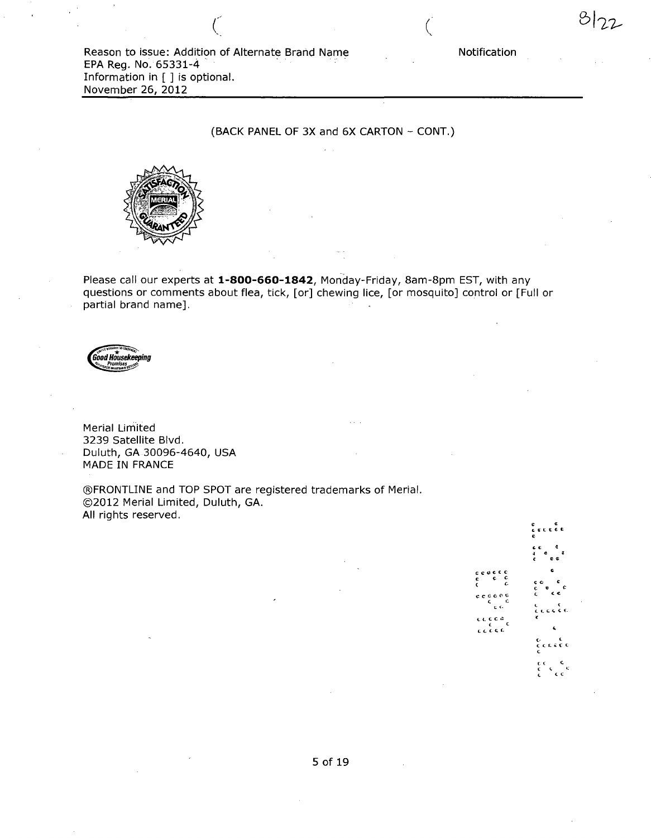Reason to issue: Addition of Alternate Brand Name EPA Reg. No. 65331-4 Information in [ ] is optional. November 26, 2012

## (BACK PANEL OF 3X and 6X CARTON - CONT.)



Please call our experts at 1-800-660-1842, Monday-Friday, 8am-8pm EST, with any questions or comments about flea, tick, [or] chewing lice, [or mosquito] control or [Full or partial brand name].



Merial Limited 3239 Satellite Blvd. Duluth, GA 30096-4640, USA MADE IN FRANCE

©FRONTLINE and TOP SPOT are registered trademarks of Merial. ©2012 Merial Limited, Duluth, GA. All rights reserved.

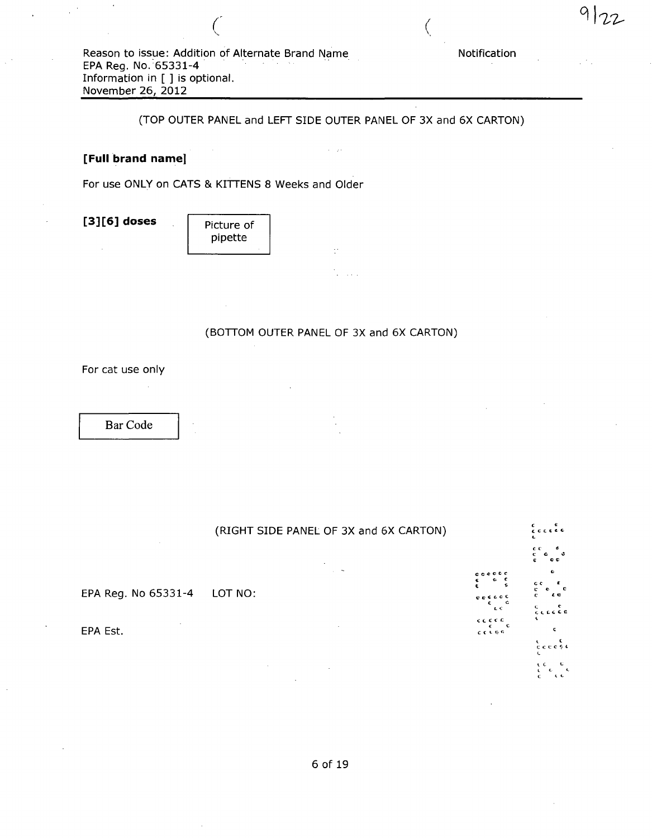$\left($ 

(TOP OUTER PANEL and LEFT SIDE OUTER PANEL OF 3X and 6X CARTON)

 $\beta = \gamma_2 \beta$ 

## [Full brand name]

For use ONLY on CATS & KITTENS 8 Weeks and Older

 $[3][6]$  doses

| Picture of<br>pipette |  |
|-----------------------|--|
|                       |  |

(BOTTOM OUTER PANEL OF 3X and 6X CARTON)

 $\mathbb{R}^2$ 

For cat use only

Bar Code

(RIGHT SIDE PANEL OF 3X and 6X CARTON) c i- $\frac{1}{2}$  c EPA Reg. No 65331-4 LOT NO: EPA Est. c c t c e <sup>C</sup> ttt C C C V C c<br>cccee

Notification

 $9|$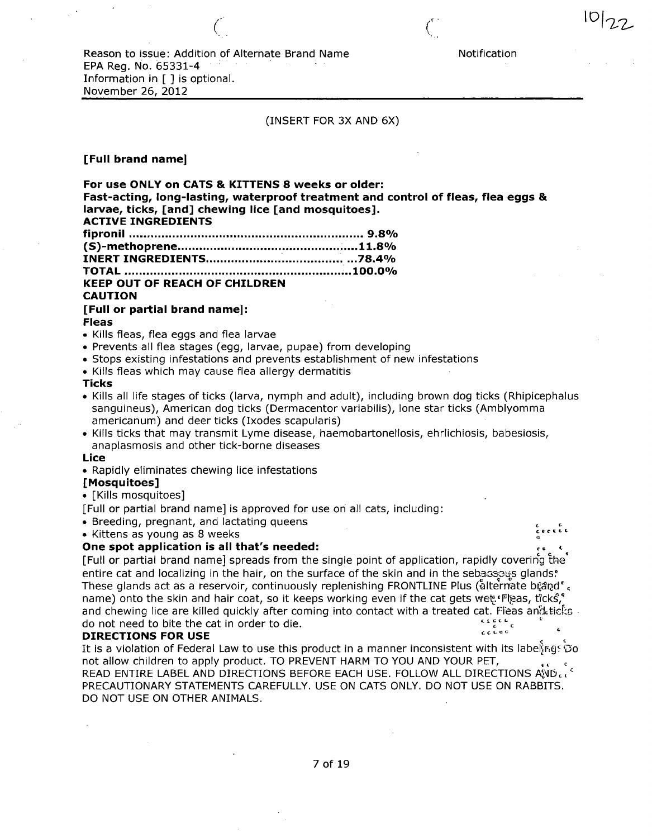Reason to issue: Addition of Alternate Brand Name Notification EPA Reg. No. 65331-4 Information in [ ] is optional. November 26, 2012

(INSERT FOR 3X AND 6X)

 $\mathcal{C}_{\alpha}$  contrary to the contrary of  $\mathcal{C}_{\alpha}$ 

#### [Full brand name]

For use ONLY on CATS & KITTENS 8 weeks or older: Fast-acting, long-lasting, waterproof treatment and control of fleas, flea eggs & larvae, ticks, [and] chewing lice [and mosquitoes]. ACTIVE INGREDIENTS fipronil 9.8% (S)-methoprene .....11.8% INERT INGREDIENTS ...78.4% TOTAL ...100.0% KEEP OUT OF REACH OF CHILDREN CAUTION [Full or partial brand name]: Fleas • Kills fleas, flea eggs and flea larvae

- Prevents all flea stages (egg, larvae, pupae) from developing
- Stops existing infestations and prevents establishment of new infestations
- Kills fleas which may cause flea allergy dermatitis
- Ticks
- Kills all life stages of ticks (larva, nymph and adult), including brown dog ticks (Rhipicephalus sanguineus), American dog ticks (Dermacentor variabilis), lone star ticks (Amblyomma americanum) and deer ticks (Ixodes scapularis)
- Kills ticks that may transmit Lyme disease, haemobartonellosis, ehrlichiosis, babesiosis, anaplasmosis and other tick-borne diseases

#### Lice

• Rapidly eliminates chewing lice infestations

#### [Mosquitoes]

• [Kills mosquitoes]

[Full or partial brand name] is approved for use on all cats, including:

• Breeding, pregnant, and lactating queens

 $\bullet$  Kittens as young as 8 weeks

#### One spot application is all that's needed:

[Full or partial brand name] spreads from the single point of application, rapidly covering the\* entire cat and localizing in the hair, on the surface of the skin and in the sebases glands. These glands act as a reservoir, continuously replenishing FRONTLINE Plus (åltermate bí;and'. name) onto the skin and hair coat, so it keeps working even if the cat gets wet.'Fleas, ticks, and chewing lice are killed quickly after coming into contact with a treated cat. Fleas and ticks do not need to bite the cat in order to die.<br> **EXECTIONS EOD HEE** do not need to bite the cat in order to die.

#### DIRECTIONS FOR USE

It is a violation of Federal Law to use this product in a manner inconsistent with its labelings Do not allow children to apply product. TO PREVENT HARM TO YOU AND YOUR PET, READ ENTIRE LABEL AND DIRECTIONS BEFORE EACH USE. FOLLOW ALL DIRECTIONS AND CC PRECAUTIONARY STATEMENTS CAREFULLY. USE ON CATS ONLY. DO NOT USE ON RABBITS. DO NOT USE ON OTHER ANIMALS.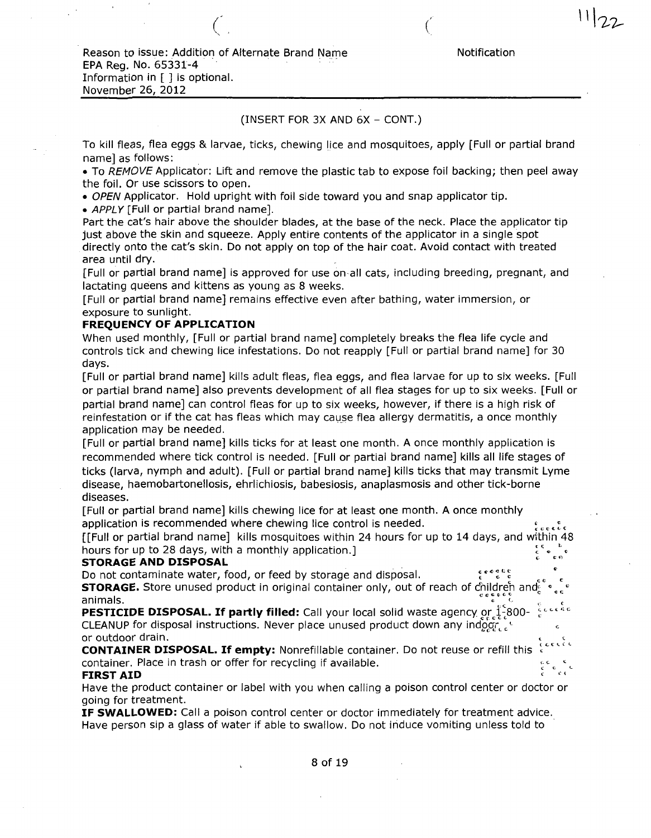$\ddot{\phantom{0}}$  .

## (INSERT FOR 3X AND 6X - CONT.)

To kill fleas, flea eggs & larvae, ticks, chewing lice and mosquitoes, apply [Full or partial brand name] as follows:

• To REMOVE Applicator: Lift and remove the plastic tab to expose foil backing; then peel away the foil. Or use scissors to open.

• OPEN Applicator. Hold upright with foil side toward you and snap applicator tip.

• APPLY [Full or partial brand name].

Part the cat's hair above the shoulder blades, at the base of the neck. Place the applicator tip just above the skin and squeeze. Apply entire contents of the applicator in a single spot directly onto the cat's skin. Do not apply on top of the hair coat. Avoid contact with treated area until dry.

[Full or partial brand name] is approved for use on all cats, including breeding, pregnant, and lactating queens and kittens as young as 8 weeks.

[Full or partial brand name] remains effective even after bathing, water immersion, or exposure to sunlight.

## FREQUENCY OF APPLICATION

When used monthly, [Full or partial brand name] completely breaks the flea life cycle and controls tick and chewing lice infestations. Do not reapply [Full or partial brand name] for 30 days.

[Full or partial brand name] kills adult fleas, flea eggs, and flea larvae for up to six weeks. [Full or partial brand name] also prevents development of all flea stages for up to six weeks. [Full or partial brand name] can control fleas for up to six weeks, however, if there is a high risk of reinfestation or if the cat has fleas which may cause flea allergy dermatitis, a once monthly application may be needed.

[Full or partial brand name] kills ticks for at least one month. A once monthly application is recommended where tick control is needed. [Full or partial brand name] kills all life stages of ticks (larva, nymph and adult). [Full or partial brand name] kills ticks that may transmit Lyme disease, haemobartonellosis, ehrlichiosis, babesiosis, anaplasmosis and other tick-borne diseases.

[Full or partial brand name] kills chewing lice for at least one month. A once monthly application is recommended where chewing lice control is needed.

[[Full or partial brand name] kills mosquitoes within 24 hours for up to 14 days, and within 48 hours for up to 28 days, with a monthly application.]  $\mathsf{AL}$  . The set of the set of the set of the set of the set of the set of the set of the set of the set of the set of the set of the set of the set of the set of the set of the set of the set of the set of the set of t

## STORAGE AND DISPOSAL

Do not contaminate water, food, or feed by storage and disposal. **STORAGE.** Store unused product in original container only, out of reach of childreh and  $\frac{1}{2}$ . The contract of the contract of  $\frac{1}{2}$  and  $\frac{1}{2}$  and  $\frac{1}{2}$  animals.

**PESTICIDE DISPOSAL. If partly filled:** Call your local solid waste agency or  $\frac{1}{2}$ -800-  $\frac{5}{6}$ cccase CLEANUP for disposal instructions. Never place unused product down any indeter  $\epsilon$ or outdoor drain.

CONTAINER DISPOSAL. If empty: Nonrefillable container. Do not reuse or refill this container. Place in trash or offer for recycling if available.

#### FIRST AID

Have the product container or label with you when calling a poison control center or doctor or going for treatment.

IF SWALLOWED: Call a poison control center or doctor immediately for treatment advice. Have person sip a glass of water if able to swallow. Do not induce vomiting unless told to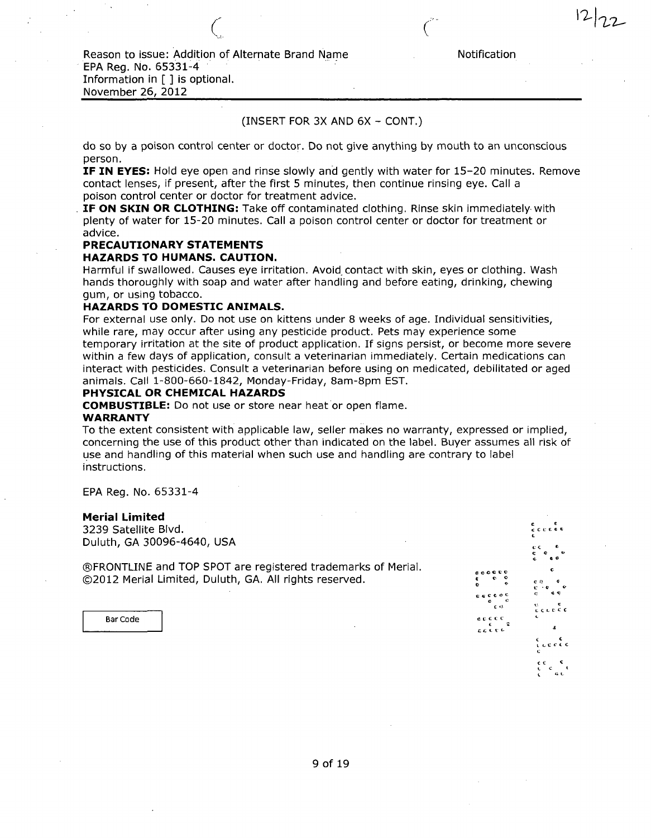## (INSERT FOR 3X AND 6X - CONT.)

do so by a poison control center or doctor. Do not give anything by mouth to an unconscious person.

IF IN EYES: Hold eye open and rinse slowly and gently with water for 15-20 minutes. Remove contact lenses, if present, after the first 5 minutes, then continue rinsing eye. Call a poison control center or doctor for treatment advice.

IF ON SKIN OR CLOTHING: Take off contaminated clothing. Rinse skin immediately with plenty of water for 15-20 minutes. Call a poison control center or doctor for treatment or advice.

## PRECAUTIONARY STATEMENTS

### HAZARDS TO HUMANS. CAUTION.

Harmful if swallowed. Causes eye irritation. Avoid contact with skin, eyes or clothing. Wash hands thoroughly with soap and water after handling and before eating, drinking, chewing gum, or using tobacco.

#### HAZARDS TO DOMESTIC ANIMALS.

For external use only. Do not use on kittens under 8 weeks of age. Individual sensitivities, while rare, may occur after using any pesticide product. Pets may experience some temporary irritation at the site of product application. If signs persist, or become more severe within a few days of application, consult a veterinarian immediately. Certain medications can interact with pesticides. Consult a veterinarian before using on medicated, debilitated or aged animals. Call 1-800-660-1842, Monday-Friday, 8am-8pm EST.

## PHYSICAL OR CHEMICAL HAZARDS

COMBUSTIBLE: Do not use or store near heat or open flame.

#### WARRANTY

To the extent consistent with applicable law, seller makes no warranty, expressed or implied, concerning the use of this product other than indicated on the label. Buyer assumes all risk of use and handling of this material when such use and handling are contrary to label instructions.

EPA Reg. No. 65331-4

#### Merial Limited

3239 Satellite Blvd. Duluth, GA 30096-4640, USA

©FRONTLINE and TOP SPOT are registered trademarks of Merial. ©2012 Merial Limited, Duluth, GA. All rights reserved.

Bar Code

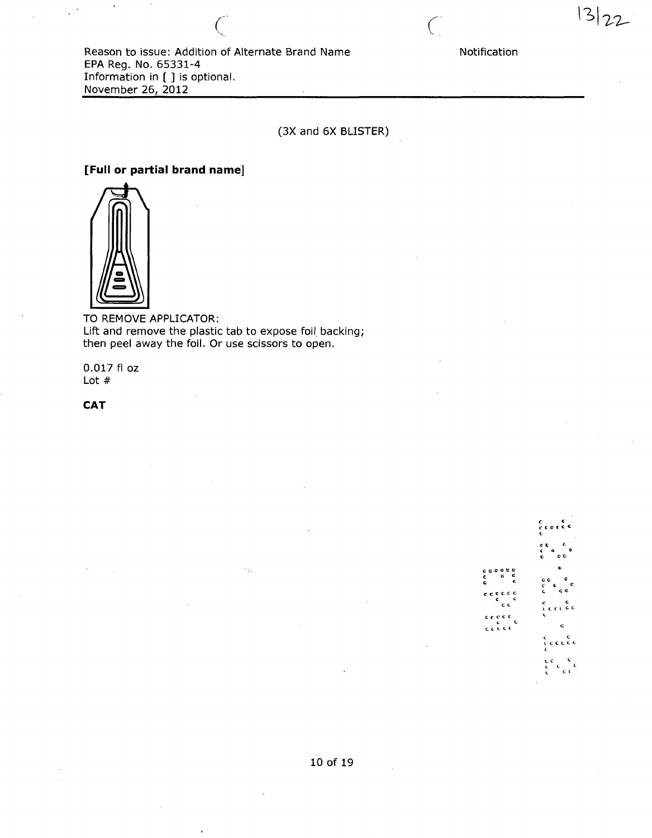$13|22$ 

Reason to issue: Addition of Alternate Brand Name EPA Reg. No. 65331-4 Information in [ ] is optional. November 26, 2012

(3X and 6X BLISTER)

# [Full or partial brand name]



TO REMOVE APPLICATOR: Lift and remove the plastic tab to expose foil backing; then peel away the foil. Or use scissors to open.

 $\gamma_{\rm th}$ 

0.017 fl oz Lot #

**CAT** 

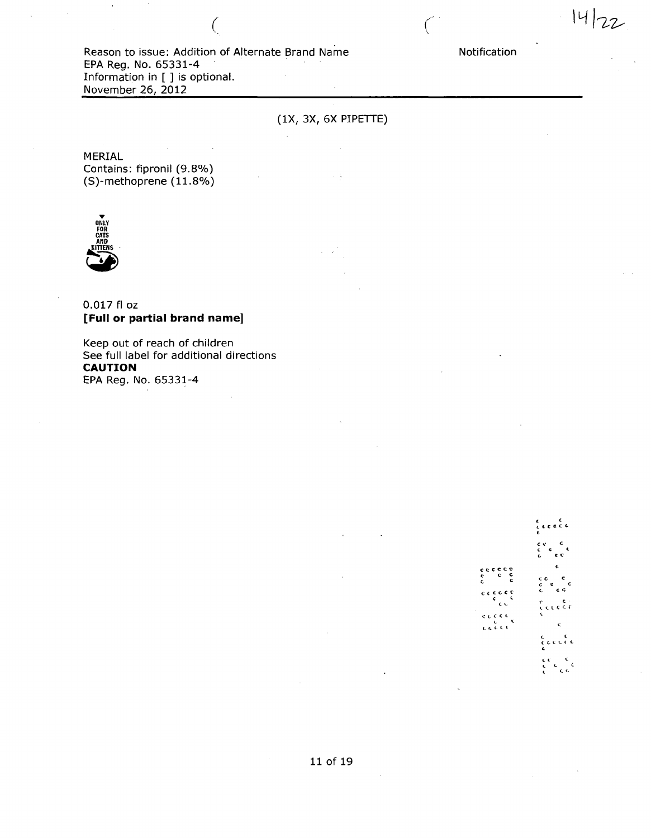$14|22$ 

(IX, 3X, 6X PIPETTE)

 $\sim$  5

MERIAL Contains: fipronil (9.8%) (S)-methoprene (11.8%)



## 0.017 fl OZ [Full or partial brand name]

Keep out of reach of children See full label for additional directions CAUTION EPA Reg. No. 65331-4

 $c$  c c c C C C « C O  $c^{\sim}$   $c^{\sim}$  c  $\frac{3}{2}$  a c c < d dit  $\begin{array}{l} c \mathrel{\mathop{\varepsilon}} \mathrel{\mathop{\varepsilon}} \mathrel{\mathop{\varepsilon}} \mathrel{\mathop{\varepsilon}} \mathrel{\mathop{\varepsilon}} \mathrel{\mathop{\varepsilon}} \mathrel{\mathop{\varepsilon}} \mathrel{\mathop{\varepsilon}} \mathrel{\mathop{\varepsilon}} \mathrel{\mathop{\varepsilon}} \mathrel{\mathop{\varepsilon}} \mathrel{\mathop{\varepsilon}} \mathrel{\mathop{\varepsilon}} \mathrel{\mathop{\varepsilon}} \mathrel{\mathop{\varepsilon}} \mathrel{\mathop{\varepsilon}} \mathrel{\mathop{\varepsilon}} \mathrel{\mathop{\varepsilon}} \mathrel{\mathop{\varepsilon}} \mathrel$ وورده ີເຖິງ<br>ເຄີຍ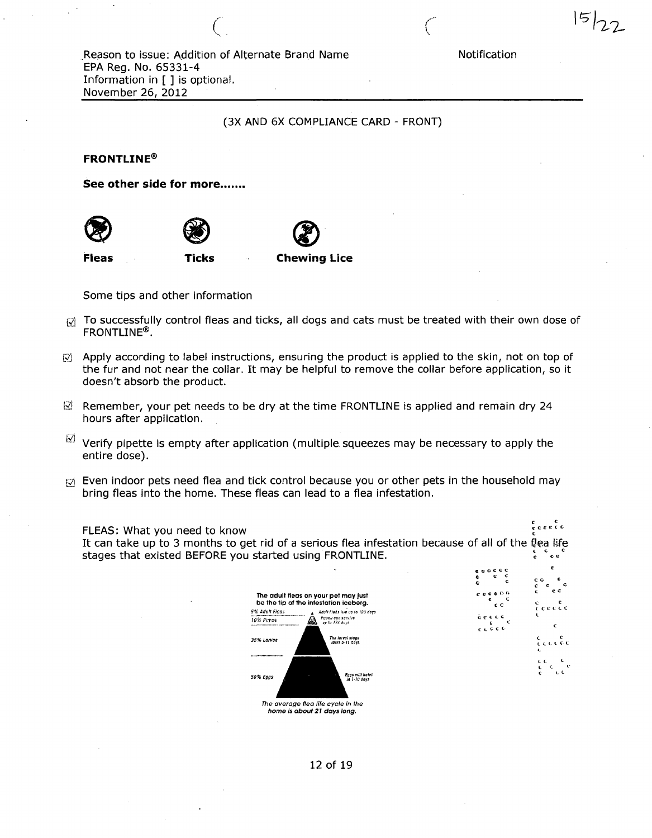c c c c c  $c$  c c  $\frac{\epsilon}{\epsilon c}$  c c c t c c I C c t\_ c c t. c e c o c c

 $15122$ 

## (3X AND 6X COMPLIANCE CARD - FRONT)

FRONTLINE®

See other side for more.......







| Fleas<br><b>Chewing Lice</b><br>Ticks |  |
|---------------------------------------|--|
|---------------------------------------|--|

Some tips and other information

- $\mathcal{G}$  To successfully control fleas and ticks, all dogs and cats must be treated with their own dose of FRONTLINE®.
- $\mathbb{R}$  Apply according to label instructions, ensuring the product is applied to the skin, not on top of the fur and not near the collar. It may be helpful to remove the collar before application, so it doesn't absorb the product.
- $\boxtimes$  Remember, your pet needs to be dry at the time FRONTLINE is applied and remain dry 24 hours after application.
- $^\circledR$  Verify pipette is empty after application (multiple squeezes may be necessary to apply the entire dose).
- $\mathbb{R}$  Even indoor pets need flea and tick control because you or other pets in the household may bring fleas into the home. These fleas can lead to a flea infestation.

r ε<br>ερεεεε FLEAS: What you need to know It can take up to 3 months to get rid of a serious flea infestation because of all of the flea life stages that existed BEFORE you started using FRONTLINE. c c

| The adult fleas on your pet may just<br>be the tip of the infestation iceberg. |
|--------------------------------------------------------------------------------|
| Adult Fleds live up to 120 days<br>Pupae can survive<br>up to 174 does         |
| The larval stage<br>lasis 5-11 days                                            |
| Enas will halch<br>in 1-10 days                                                |
| The average flea life cycle in the                                             |
| home is about 21 days lona.                                                    |

12 of 19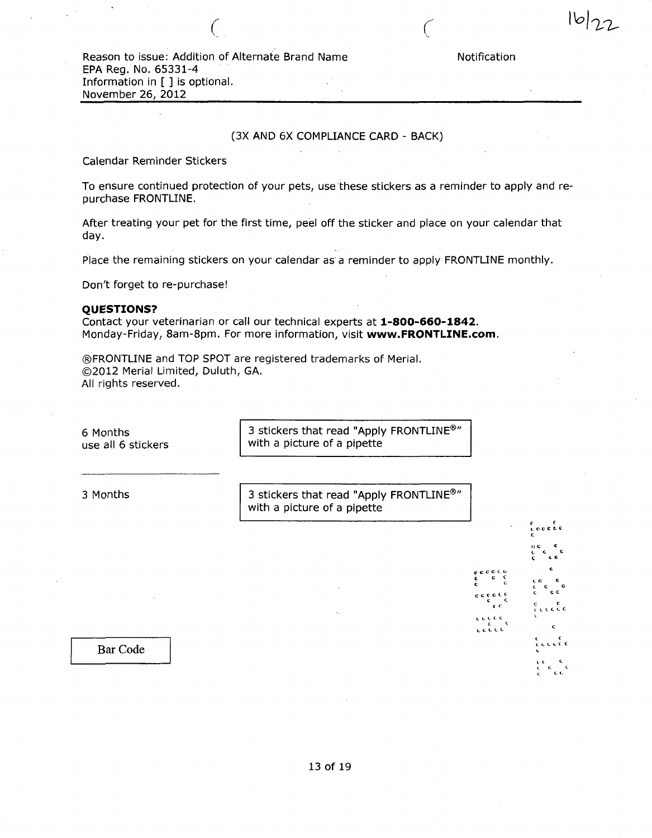C C O C «. O £ C C c c c c c c C C C C L C C t. C C < L L L L L  $\mathcal L$ 

## (3X AND 6X COMPLIANCE CARD - BACK)

Calendar Reminder Stickers

To ensure continued protection of your pets, use these stickers as a reminder to apply and repurchase FRONTLINE.

After treating your pet for the first time, peel off the sticker and place on your calendar that day.

Place the remaining stickers on your calendar as a reminder to apply FRONTLINE monthly.

Don't forget to re-purchase!

#### QUESTIONS?

Contact your veterinarian or call our technical experts at 1-800-660-1842. Monday-Friday, 8am-8pm. For more information, visit www.FRONTLINE.com.

©FRONTLINE and TOP SPOT are registered trademarks of Merial. ©2012 Merial Limited, Duluth, GA. All rights reserved.

6 Months use all 6 stickers 3 stickers that read "Apply FRONTLINE®" with a picture of a pipette 3 Months 3 stickers that read "Apply FRONTLINE®" with a picture of a pipette

Bar Code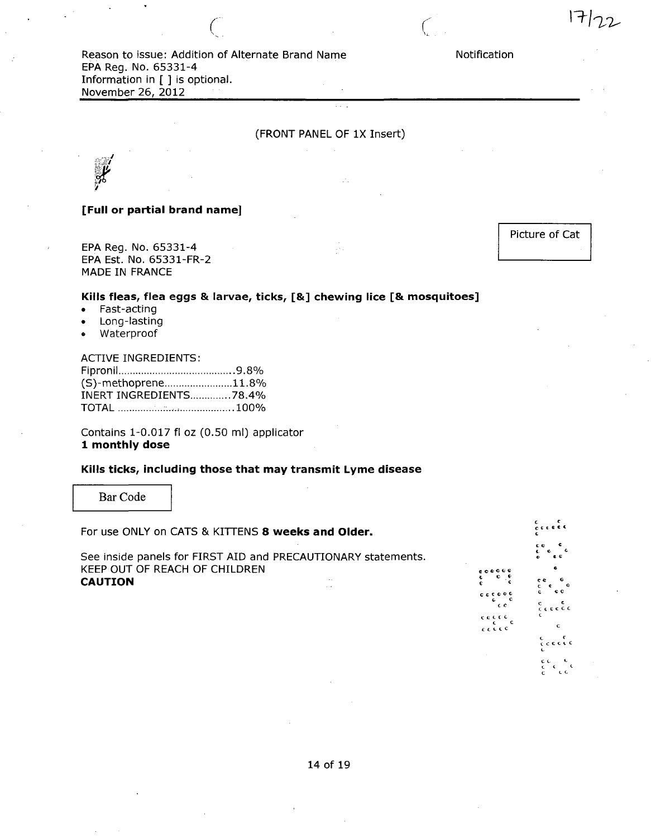Reason to issue: Addition of Alternate Brand Name EPA Reg. No. 65331-4 Information in [ ] is optional. November 26, 2012

 $\overline{\zeta}$ 

## (FRONT PANEL OF IX Insert)

## [Full or partial brand name]

EPA Reg. No. 65331-4 EPA Est. No. 65331-FR-2 MADE IN FRANCE

Picture of Cat

## Kills fleas, flea eggs & larvae, ticks, [&] chewing lice [& mosquitoes]

- Fast-acting
- Long-lasting
- Waterproof

#### ACTIVE INGREDIENTS:

| (S)-methoprene11.8%           |  |
|-------------------------------|--|
| <b>INERT INGREDIENTS78.4%</b> |  |
|                               |  |

Contains 1-0.017 fl oz (0.50 ml) applicator 1 monthly dose

## Kills ticks, including those that may transmit Lyme disease

Bar Code

| For use ONLY on CATS & KITTENS 8 weeks and Older.                                                                                                |                                                                                      | c.e.e.e.                                                                                    |
|--------------------------------------------------------------------------------------------------------------------------------------------------|--------------------------------------------------------------------------------------|---------------------------------------------------------------------------------------------|
| See inside panels for FIRST AID and PRECAUTIONARY statements.<br>KEEP OUT OF REACH OF CHILDREN<br><b>CAUTION</b><br>$\sim$ 100 $\pm$<br>$1 - 14$ | 0.0000<br>≎ຸ≎<br>$c$ $c$ $c$ $c$ $c$ $c$<br>c.<br>εc<br>cecco<br>$c$ $c$ $c$ $c$ $c$ | сe<br>$\pmb{a}$<br>G<br>e e.<br>c c<br>$rac{c}{c}$ $rac{c}{c}$<br>C.<br>c.<br>$c$ c c c c c |
|                                                                                                                                                  |                                                                                      | ce<br>L C                                                                                   |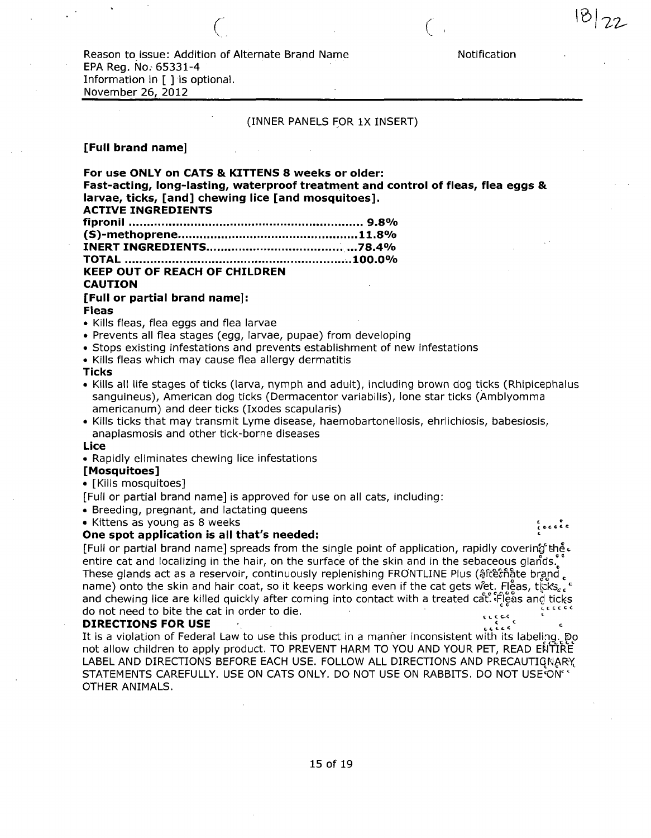Reason to issue: Addition of Alternate Brand Name Notification EPA Reg. No. 65331-4 Information in [ ] is optional. November 26, 2012

 $\overline{C}$ 

#### (INNER PANELS FOR 1X INSERT)

## [Full brand name]

For use ONLY on CATS & KITTENS 8 weeks or older: Fast-acting, long-lasting, waterproof treatment and control of fleas, flea eggs & larvae, ticks, [and] chewing lice [and mosquitoes]. ACTIVE INGREDIENTS fipronil 9.8% (S)-methoprene 11.8% INERT INGREDIENTS ...78.4% TOTAL ..100.0% KEEP OUT OF REACH OF CHILDREN CAUTION [Full or partial brand name]: Fleas • Kills fleas, flea eggs and flea larvae • Prevents all flea stages (egg, larvae, pupae) from developing • Stops existing infestations and prevents establishment of new infestations • Kills fleas which may cause flea allergy dermatitis **Ticks** • Kills all life stages of ticks (larva, nymph and adult), including brown dog ticks (Rhipicephalus sanguineus), American dog ticks (Dermacentor variabilis), lone star ticks (Amblyomma americanum) and deer ticks (Ixodes scapularis) • Kills ticks that may transmit Lyme disease, haemobartonellosis, ehrlichiosis, babesiosis, anaplasmosis and other tick-borne diseases Lice • Rapidly eliminates chewing lice infestations [Mosquitoes] • [Kills mosquitoes] [Full or partial brand name] is approved for use on all cats, including: • Breeding, pregnant, and lactating queens • Kittens as young as 8 weeks .c^ec \* One spot application is all that's needed: [Full or partial brand name] spreads from the single point of application, rapidly covering the.

entire cat and localizing in the hair, on the surface of the skin and in the sebaceous glands. These glands act as a reservoir, continuously replenishing FRONTLINE Plus (\$fce from formald name) onto the skin and hair coat, so it keeps working even if the cat gets wet. Fleas, ticks. and chewing lice are killed quickly after coming into contact with a treated cat. Fleas and ticks do not need to bite the cat in order to die.<br> **DIBECTIONS EOD HEE** 

#### **DIRECTIONS FOR USE**

It is a violation of Federal Law to use this product in a manner inconsistent with its labeling. Do not allow children to apply product. TO PREVENT HARM TO YOU AND YOUR PET, READ ENTIRE LABEL AND DIRECTIONS BEFORE EACH USE. FOLLOW ALL DIRECTIONS AND PRECAUTIONARY, STATEMENTS CAREFULLY. USE ON CATS ONLY. DO NOT USE ON RABBITS. DO NOT USE ON " OTHER ANIMALS.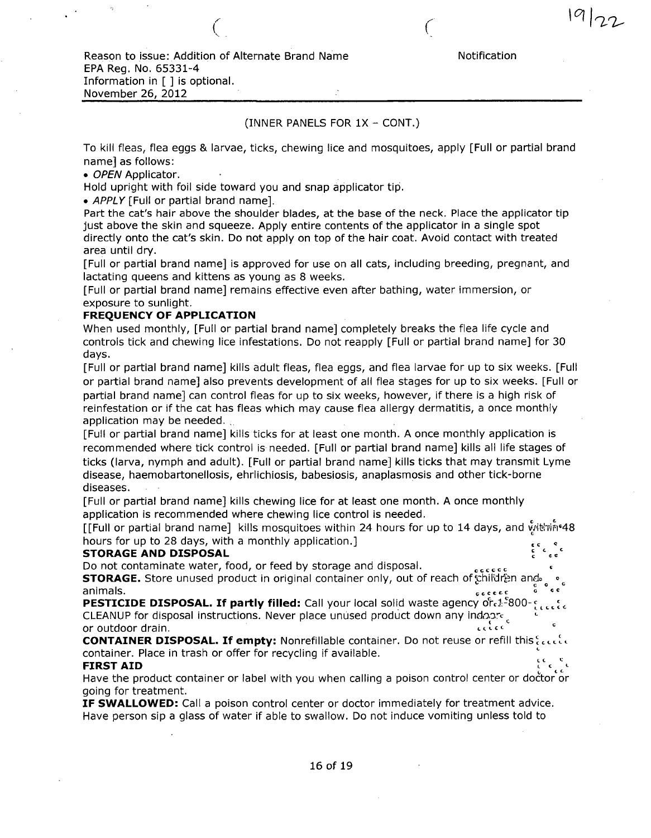$\overline{C}$ 

## (INNER PANELS FOR IX - CONT.)

To kill fleas, flea eggs & larvae, ticks, chewing lice and mosquitoes, apply [Full or partial brand name] as follows:

• OPEN Applicator.

Hold upright with foil side toward you and snap applicator tip.

• APPLY [Full or partial brand name].

Part the cat's hair above the shoulder blades, at the base of the neck. Place the applicator tip just above the skin and squeeze. Apply entire contents of the applicator in a single spot directly onto the cat's skin. Do not apply on top of the hair coat. Avoid contact with treated area until dry.

[Full or partial brand name] is approved for use on all cats, including breeding, pregnant, and lactating queens and kittens as young as 8 weeks.

[Full or partial brand name] remains effective even after bathing, water immersion, or exposure to sunlight.

## FREQUENCY OF APPLICATION

When used monthly, [Full or partial brand name] completely breaks the flea life cycle and controls tick and chewing lice infestations. Do not reapply [Full or partial brand name] for 30 days.

[Full or partial brand name] kills adult fleas, flea eggs, and flea larvae for up to six weeks. [Full or partial brand name] also prevents development of all flea stages for up to six weeks. [Full or partial brand name] can control fleas for up to six weeks, however, if there is a high risk of reinfestation or if the cat has fleas which may cause flea allergy dermatitis, a once monthly application may be needed.

[Full or partial brand name] kills ticks for at least one month. A once monthly application is recommended where tick control is needed. [Full or partial brand name] kills all life stages of ticks (larva, nymph and adult). [Full or partial brand name] kills ticks that may transmit Lyme disease, haemobartonellosis, ehrlichiosis, babesiosis, anaplasmosis and other tick-borne diseases.

[Full or partial brand name] kills chewing lice for at least one month. A once monthly application is recommended where chewing lice control is needed.

[[Full or partial brand name] kills mosquitoes within 24 hours for up to 14 days, and with 148 hours for up to 28 days, with a monthly application.]

#### **STORAGE AND DISPOSAL**

Do not contaminate water, food, or feed by storage and disposal.

STORAGE. Store unused product in original container only, out of reach of children and animals.

PESTICIDE DISPOSAL. If partly filled: Call your local solid waste agency of 2-800-**CLEANUP** for disposal instructions. Never place unused product down any indoard, εςίες or outdoor drain.

CONTAINER DISPOSAL. If empty: Nonrefillable container. Do not reuse or refill this access container. Place in trash or offer for recycling if available. FIRST AID

Have the product container or label with you when calling a poison control center or doctor or going for treatment.

IF SWALLOWED: Call a poison control center or doctor immediately for treatment advice. Have person sip a glass of water if able to swallow. Do not induce vomiting unless told to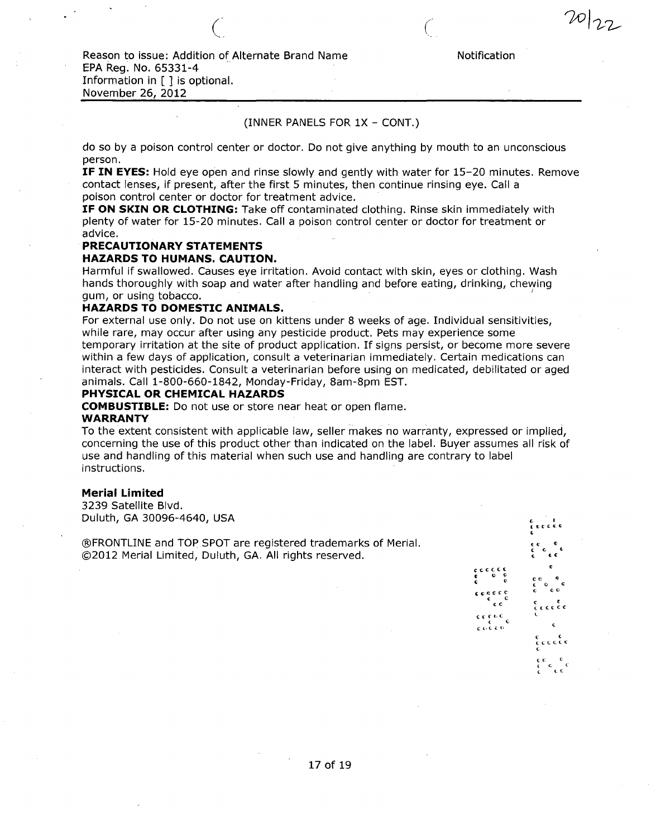20/22

 $\bigcup$ 

## (INNER PANELS FOR IX - CONT.)

do so by a poison control center or doctor. Do not give anything by mouth to an unconscious person.

IF IN EYES: Hold eye open and rinse slowly and gently with water for 15-20 minutes. Remove contact lenses, if present, after the first 5 minutes, then continue rinsing eye. Call a poison control center or doctor for treatment advice.

IF ON SKIN OR CLOTHING: Take off contaminated clothing. Rinse skin immediately with plenty of water for 15-20 minutes. Call a poison control center or doctor for treatment or advice.

## PRECAUTIONARY STATEMENTS

#### HAZARDS TO HUMANS. CAUTION.

Harmful if swallowed. Causes eye irritation. Avoid contact with skin, eyes or clothing. Wash hands thoroughly with soap and water after handling and before eating, drinking, chewing gum, or using tobacco.

#### HAZARDS TO DOMESTIC ANIMALS.

For external use only. Do not use on kittens under 8 weeks of age. Individual sensitivities, while rare, may occur after using any pesticide product. Pets may experience some temporary irritation at the site of product application. If signs persist, or become more severe within a few days of application, consult a veterinarian immediately. Certain medications can interact with pesticides. Consult a veterinarian before using on medicated, debilitated or aged animals. Call 1-800-660-1842, Monday-Friday, 8am-8pm EST.

#### PHYSICAL OR CHEMICAL HAZARDS

COMBUSTIBLE: Do not use or store near heat or open flame.

#### WARRANTY

To the extent consistent with applicable law, seller makes no warranty, expressed or implied, concerning the use of this product other than indicated on the label. Buyer assumes all risk of use and handling of this material when such use and handling are contrary to label instructions.

#### Merial Limited

3239 Satellite Blvd. Duluth, GA 30096-4640, USA

©FRONTLINE and TOP SPOT are registered trademarks of Merial. ©2012 Merial Limited, Duluth, GA. All rights reserved.



etc c c c

€ e e e c c c c l c c c < «>c t c ce « C O < C CO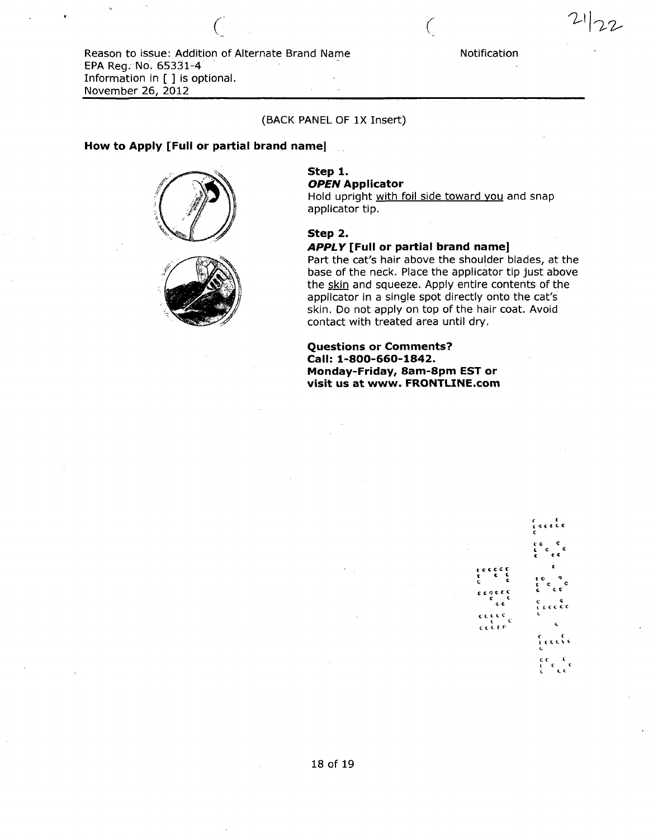Reason to issue: Addition of Alternate Brand Name Motification

(BACK PANEL OF IX Insert)

C (

## How to Apply [Full or partial brand name]

EPA Reg. No. 65331-4

November 26, 2012 •

Information in [ ] is optional.





# Step 1.

OPEN Applicator

Hold upright with foil side toward you and snap applicator tip.

### Step 2.

## APPLY [Full or partial brand name]

Part the cat's hair above the shoulder blades, at the base of the neck. Place the applicator tip just above the skin and squeeze. Apply entire contents of the applicator in a single spot directly onto the cat's skin. Do not apply on top of the hair coat. Avoid contact with treated area until dry.

## Questions or Comments? Call: 1-800-660-1842. Monday-Friday, 8am-8pm EST or visit us at www. FRONTLINE.com